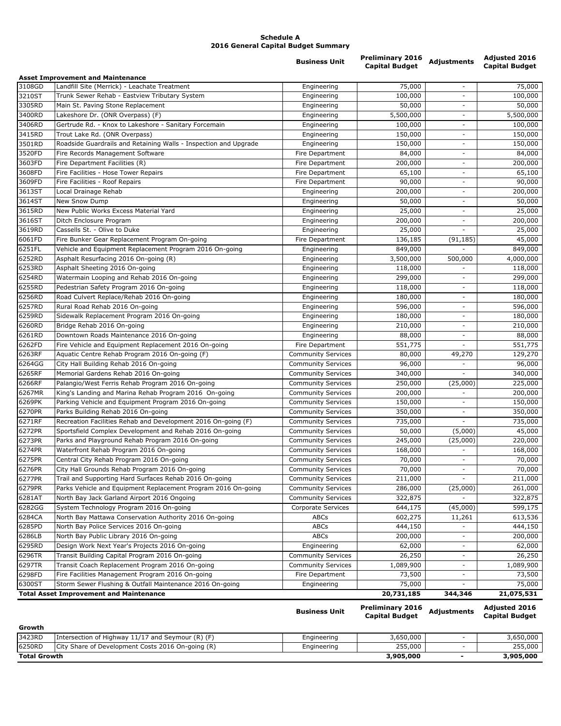## **Schedule A 2016 General Capital Budget Summary**

| <b>Asset Improvement and Maintenance</b><br>3108GD<br>Landfill Site (Merrick) - Leachate Treatment<br>75,000<br>Engineering<br>$\overline{\phantom{a}}$<br>3210ST<br>100,000<br>Trunk Sewer Rehab - Eastview Tributary System<br>Engineering<br>$\overline{\phantom{a}}$<br>3305RD<br>Main St. Paving Stone Replacement<br>50,000<br>Engineering<br>$\overline{\phantom{a}}$<br>3400RD<br>Lakeshore Dr. (ONR Overpass) (F)<br>5,500,000<br>5,500,000<br>Engineering<br>3406RD<br>Gertrude Rd. - Knox to Lakeshore - Sanitary Forcemain<br>100,000<br>Engineering<br>$\overline{\phantom{a}}$<br>3415RD<br>Trout Lake Rd. (ONR Overpass)<br>150,000<br>150,000<br>Engineering<br>$\overline{\phantom{a}}$<br>3501RD<br>Roadside Guardrails and Retaining Walls - Inspection and Upgrade<br>150,000<br>Engineering<br>$\overline{\phantom{a}}$<br>3520FD<br>84,000<br>84,000<br>Fire Records Management Software<br>Fire Department<br>3603FD<br>Fire Department Facilities (R)<br>200,000<br>200,000<br>Fire Department<br>$\overline{\phantom{a}}$<br>3608FD<br>Fire Facilities - Hose Tower Repairs<br>Fire Department<br>65,100<br>$\overline{\phantom{a}}$<br>3609FD<br>Fire Facilities - Roof Repairs<br>90,000<br>90,000<br>Fire Department<br>3613ST<br>200,000<br>200,000<br>Local Drainage Rehab<br>Engineering<br>3614ST<br>New Snow Dump<br>50,000<br>50,000<br>Engineering<br>$\overline{\phantom{a}}$<br>3615RD<br>New Public Works Excess Material Yard<br>25,000<br>Engineering<br>$\overline{a}$<br>3616ST<br>200,000<br>Ditch Enclosure Program<br>Engineering<br>$\overline{\phantom{a}}$<br>3619RD<br>Cassells St. - Olive to Duke<br>25,000<br>Engineering<br>6061FD<br>Fire Bunker Gear Replacement Program On-going<br>Fire Department<br>136,185<br>(91, 185)<br>6251FL<br>Vehicle and Equipment Replacement Program 2016 On-going<br>Engineering<br>849,000<br>6252RD<br>Asphalt Resurfacing 2016 On-going (R)<br>3,500,000<br>500,000<br>Engineering<br>6253RD<br>Asphalt Sheeting 2016 On-going<br>118,000<br>Engineering<br>6254RD<br>Watermain Looping and Rehab 2016 On-going<br>299,000<br>Engineering<br>$\overline{\phantom{a}}$<br>6255RD<br>Pedestrian Safety Program 2016 On-going<br>Engineering<br>118,000<br>6256RD<br>Road Culvert Replace/Rehab 2016 On-going<br>Engineering<br>180,000<br>6257RD<br>Rural Road Rehab 2016 On-going<br>596,000<br>Engineering<br>$\overline{a}$<br>6259RD<br>Sidewalk Replacement Program 2016 On-going<br>180,000<br>Engineering<br>$\overline{\phantom{a}}$<br>6260RD<br>Bridge Rehab 2016 On-going<br>210,000<br>Engineering<br>$\overline{\phantom{a}}$<br>6261RD<br>Downtown Roads Maintenance 2016 On-going<br>88,000<br>Engineering<br>6262FD<br>551,775<br>Fire Vehicle and Equipment Replacement 2016 On-going<br>Fire Department<br>$\overline{a}$<br>6263RF<br>Aquatic Centre Rehab Program 2016 On-going (F)<br>80,000<br>49,270<br><b>Community Services</b><br>6264GG<br>City Hall Building Rehab 2016 On-going<br>96,000<br><b>Community Services</b><br>6265RF<br>Memorial Gardens Rehab 2016 On-going<br>340,000<br><b>Community Services</b><br>6266RF<br>Palangio/West Ferris Rehab Program 2016 On-going<br>250,000<br>(25,000)<br><b>Community Services</b><br>6267MR<br>King's Landing and Marina Rehab Program 2016 On-going<br>200,000<br><b>Community Services</b><br>6269PK<br>Parking Vehicle and Equipment Program 2016 On-going<br>150,000<br><b>Community Services</b><br>150,000<br>6270PR<br>Parks Building Rehab 2016 On-going<br>350,000<br><b>Community Services</b><br>6271RF<br>Recreation Facilities Rehab and Development 2016 On-going (F)<br>735,000<br><b>Community Services</b><br>$\overline{a}$<br>Sportsfield Complex Development and Rehab 2016 On-going<br>6272PR<br><b>Community Services</b><br>50,000<br>(5,000)<br>Parks and Playground Rehab Program 2016 On-going<br>245,000<br>(25,000)<br>6273PR<br><b>Community Services</b><br>6274PR<br>Waterfront Rehab Program 2016 On-going<br>168,000<br><b>Community Services</b><br>6275PR<br>Central City Rehab Program 2016 On-going<br>70,000<br><b>Community Services</b><br>$\overline{\phantom{a}}$<br>6276PR<br>City Hall Grounds Rehab Program 2016 On-going<br><b>Community Services</b><br>70,000<br>6277PR<br>Trail and Supporting Hard Surfaces Rehab 2016 On-going<br>211,000<br><b>Community Services</b><br>6279PR<br>Parks Vehicle and Equipment Replacement Program 2016 On-going<br>286,000<br>(25,000)<br><b>Community Services</b><br>6281AT<br>North Bay Jack Garland Airport 2016 Ongoing<br><b>Community Services</b><br>322,875<br>6282GG<br>System Technology Program 2016 On-going<br>Corporate Services<br>644,175<br>(45,000)<br>6284CA<br>North Bay Mattawa Conservation Authority 2016 On-going<br>ABCs<br>602,275<br>11,261<br>6285PD<br>North Bay Police Services 2016 On-going<br>ABCs<br>444,150<br>6286LB<br>North Bay Public Library 2016 On-going<br><b>ABCs</b><br>200,000<br>$\overline{\phantom{a}}$<br>6295RD<br>Design Work Next Year's Projects 2016 On-going<br>Engineering<br>62,000<br>26,250<br>6296TR<br>Transit Building Capital Program 2016 On-going<br><b>Community Services</b><br>6297TR<br>1,089,900<br>Transit Coach Replacement Program 2016 On-going<br><b>Community Services</b><br>$\overline{\phantom{0}}$<br>6298FD<br>Fire Facilities Management Program 2016 On-going<br>Fire Department<br>73,500<br>6300ST<br>Storm Sewer Flushing & Outfall Maintenance 2016 On-going<br>75,000<br>Engineering<br><b>Total Asset Improvement and Maintenance</b><br>20,731,185<br>344,346 |  | <b>Business Unit</b> | <b>Preliminary 2016</b><br><b>Capital Budget</b> | <b>Adjustments</b> | <b>Adjusted 2016</b><br><b>Capital Budget</b> |
|----------------------------------------------------------------------------------------------------------------------------------------------------------------------------------------------------------------------------------------------------------------------------------------------------------------------------------------------------------------------------------------------------------------------------------------------------------------------------------------------------------------------------------------------------------------------------------------------------------------------------------------------------------------------------------------------------------------------------------------------------------------------------------------------------------------------------------------------------------------------------------------------------------------------------------------------------------------------------------------------------------------------------------------------------------------------------------------------------------------------------------------------------------------------------------------------------------------------------------------------------------------------------------------------------------------------------------------------------------------------------------------------------------------------------------------------------------------------------------------------------------------------------------------------------------------------------------------------------------------------------------------------------------------------------------------------------------------------------------------------------------------------------------------------------------------------------------------------------------------------------------------------------------------------------------------------------------------------------------------------------------------------------------------------------------------------------------------------------------------------------------------------------------------------------------------------------------------------------------------------------------------------------------------------------------------------------------------------------------------------------------------------------------------------------------------------------------------------------------------------------------------------------------------------------------------------------------------------------------------------------------------------------------------------------------------------------------------------------------------------------------------------------------------------------------------------------------------------------------------------------------------------------------------------------------------------------------------------------------------------------------------------------------------------------------------------------------------------------------------------------------------------------------------------------------------------------------------------------------------------------------------------------------------------------------------------------------------------------------------------------------------------------------------------------------------------------------------------------------------------------------------------------------------------------------------------------------------------------------------------------------------------------------------------------------------------------------------------------------------------------------------------------------------------------------------------------------------------------------------------------------------------------------------------------------------------------------------------------------------------------------------------------------------------------------------------------------------------------------------------------------------------------------------------------------------------------------------------------------------------------------------------------------------------------------------------------------------------------------------------------------------------------------------------------------------------------------------------------------------------------------------------------------------------------------------------------------------------------------------------------------------------------------------------------------------------------------------------------------------------------------------------------------------------------------------------------------------------------------------------------------------------------------------------------------------------------------------------------------------------------------------------------------------------------------------------------------------------------------------------------------------------------------------------------------------------------------------------------------------------------------------------------------------------------------------------------------------------------------------------------------------------------------------------------------------------------------------------------------------------------------------------------------------------------------------------------------------------------------------------|--|----------------------|--------------------------------------------------|--------------------|-----------------------------------------------|
|                                                                                                                                                                                                                                                                                                                                                                                                                                                                                                                                                                                                                                                                                                                                                                                                                                                                                                                                                                                                                                                                                                                                                                                                                                                                                                                                                                                                                                                                                                                                                                                                                                                                                                                                                                                                                                                                                                                                                                                                                                                                                                                                                                                                                                                                                                                                                                                                                                                                                                                                                                                                                                                                                                                                                                                                                                                                                                                                                                                                                                                                                                                                                                                                                                                                                                                                                                                                                                                                                                                                                                                                                                                                                                                                                                                                                                                                                                                                                                                                                                                                                                                                                                                                                                                                                                                                                                                                                                                                                                                                                                                                                                                                                                                                                                                                                                                                                                                                                                                                                                                                                                                                                                                                                                                                                                                                                                                                                                                                                                                                                                                                                      |  |                      |                                                  |                    |                                               |
|                                                                                                                                                                                                                                                                                                                                                                                                                                                                                                                                                                                                                                                                                                                                                                                                                                                                                                                                                                                                                                                                                                                                                                                                                                                                                                                                                                                                                                                                                                                                                                                                                                                                                                                                                                                                                                                                                                                                                                                                                                                                                                                                                                                                                                                                                                                                                                                                                                                                                                                                                                                                                                                                                                                                                                                                                                                                                                                                                                                                                                                                                                                                                                                                                                                                                                                                                                                                                                                                                                                                                                                                                                                                                                                                                                                                                                                                                                                                                                                                                                                                                                                                                                                                                                                                                                                                                                                                                                                                                                                                                                                                                                                                                                                                                                                                                                                                                                                                                                                                                                                                                                                                                                                                                                                                                                                                                                                                                                                                                                                                                                                                                      |  |                      |                                                  |                    | 75,000                                        |
|                                                                                                                                                                                                                                                                                                                                                                                                                                                                                                                                                                                                                                                                                                                                                                                                                                                                                                                                                                                                                                                                                                                                                                                                                                                                                                                                                                                                                                                                                                                                                                                                                                                                                                                                                                                                                                                                                                                                                                                                                                                                                                                                                                                                                                                                                                                                                                                                                                                                                                                                                                                                                                                                                                                                                                                                                                                                                                                                                                                                                                                                                                                                                                                                                                                                                                                                                                                                                                                                                                                                                                                                                                                                                                                                                                                                                                                                                                                                                                                                                                                                                                                                                                                                                                                                                                                                                                                                                                                                                                                                                                                                                                                                                                                                                                                                                                                                                                                                                                                                                                                                                                                                                                                                                                                                                                                                                                                                                                                                                                                                                                                                                      |  |                      |                                                  |                    | 100,000                                       |
|                                                                                                                                                                                                                                                                                                                                                                                                                                                                                                                                                                                                                                                                                                                                                                                                                                                                                                                                                                                                                                                                                                                                                                                                                                                                                                                                                                                                                                                                                                                                                                                                                                                                                                                                                                                                                                                                                                                                                                                                                                                                                                                                                                                                                                                                                                                                                                                                                                                                                                                                                                                                                                                                                                                                                                                                                                                                                                                                                                                                                                                                                                                                                                                                                                                                                                                                                                                                                                                                                                                                                                                                                                                                                                                                                                                                                                                                                                                                                                                                                                                                                                                                                                                                                                                                                                                                                                                                                                                                                                                                                                                                                                                                                                                                                                                                                                                                                                                                                                                                                                                                                                                                                                                                                                                                                                                                                                                                                                                                                                                                                                                                                      |  |                      |                                                  |                    | 50,000                                        |
|                                                                                                                                                                                                                                                                                                                                                                                                                                                                                                                                                                                                                                                                                                                                                                                                                                                                                                                                                                                                                                                                                                                                                                                                                                                                                                                                                                                                                                                                                                                                                                                                                                                                                                                                                                                                                                                                                                                                                                                                                                                                                                                                                                                                                                                                                                                                                                                                                                                                                                                                                                                                                                                                                                                                                                                                                                                                                                                                                                                                                                                                                                                                                                                                                                                                                                                                                                                                                                                                                                                                                                                                                                                                                                                                                                                                                                                                                                                                                                                                                                                                                                                                                                                                                                                                                                                                                                                                                                                                                                                                                                                                                                                                                                                                                                                                                                                                                                                                                                                                                                                                                                                                                                                                                                                                                                                                                                                                                                                                                                                                                                                                                      |  |                      |                                                  |                    |                                               |
|                                                                                                                                                                                                                                                                                                                                                                                                                                                                                                                                                                                                                                                                                                                                                                                                                                                                                                                                                                                                                                                                                                                                                                                                                                                                                                                                                                                                                                                                                                                                                                                                                                                                                                                                                                                                                                                                                                                                                                                                                                                                                                                                                                                                                                                                                                                                                                                                                                                                                                                                                                                                                                                                                                                                                                                                                                                                                                                                                                                                                                                                                                                                                                                                                                                                                                                                                                                                                                                                                                                                                                                                                                                                                                                                                                                                                                                                                                                                                                                                                                                                                                                                                                                                                                                                                                                                                                                                                                                                                                                                                                                                                                                                                                                                                                                                                                                                                                                                                                                                                                                                                                                                                                                                                                                                                                                                                                                                                                                                                                                                                                                                                      |  |                      |                                                  |                    | 100,000                                       |
|                                                                                                                                                                                                                                                                                                                                                                                                                                                                                                                                                                                                                                                                                                                                                                                                                                                                                                                                                                                                                                                                                                                                                                                                                                                                                                                                                                                                                                                                                                                                                                                                                                                                                                                                                                                                                                                                                                                                                                                                                                                                                                                                                                                                                                                                                                                                                                                                                                                                                                                                                                                                                                                                                                                                                                                                                                                                                                                                                                                                                                                                                                                                                                                                                                                                                                                                                                                                                                                                                                                                                                                                                                                                                                                                                                                                                                                                                                                                                                                                                                                                                                                                                                                                                                                                                                                                                                                                                                                                                                                                                                                                                                                                                                                                                                                                                                                                                                                                                                                                                                                                                                                                                                                                                                                                                                                                                                                                                                                                                                                                                                                                                      |  |                      |                                                  |                    |                                               |
|                                                                                                                                                                                                                                                                                                                                                                                                                                                                                                                                                                                                                                                                                                                                                                                                                                                                                                                                                                                                                                                                                                                                                                                                                                                                                                                                                                                                                                                                                                                                                                                                                                                                                                                                                                                                                                                                                                                                                                                                                                                                                                                                                                                                                                                                                                                                                                                                                                                                                                                                                                                                                                                                                                                                                                                                                                                                                                                                                                                                                                                                                                                                                                                                                                                                                                                                                                                                                                                                                                                                                                                                                                                                                                                                                                                                                                                                                                                                                                                                                                                                                                                                                                                                                                                                                                                                                                                                                                                                                                                                                                                                                                                                                                                                                                                                                                                                                                                                                                                                                                                                                                                                                                                                                                                                                                                                                                                                                                                                                                                                                                                                                      |  |                      |                                                  |                    | 150,000                                       |
|                                                                                                                                                                                                                                                                                                                                                                                                                                                                                                                                                                                                                                                                                                                                                                                                                                                                                                                                                                                                                                                                                                                                                                                                                                                                                                                                                                                                                                                                                                                                                                                                                                                                                                                                                                                                                                                                                                                                                                                                                                                                                                                                                                                                                                                                                                                                                                                                                                                                                                                                                                                                                                                                                                                                                                                                                                                                                                                                                                                                                                                                                                                                                                                                                                                                                                                                                                                                                                                                                                                                                                                                                                                                                                                                                                                                                                                                                                                                                                                                                                                                                                                                                                                                                                                                                                                                                                                                                                                                                                                                                                                                                                                                                                                                                                                                                                                                                                                                                                                                                                                                                                                                                                                                                                                                                                                                                                                                                                                                                                                                                                                                                      |  |                      |                                                  |                    |                                               |
|                                                                                                                                                                                                                                                                                                                                                                                                                                                                                                                                                                                                                                                                                                                                                                                                                                                                                                                                                                                                                                                                                                                                                                                                                                                                                                                                                                                                                                                                                                                                                                                                                                                                                                                                                                                                                                                                                                                                                                                                                                                                                                                                                                                                                                                                                                                                                                                                                                                                                                                                                                                                                                                                                                                                                                                                                                                                                                                                                                                                                                                                                                                                                                                                                                                                                                                                                                                                                                                                                                                                                                                                                                                                                                                                                                                                                                                                                                                                                                                                                                                                                                                                                                                                                                                                                                                                                                                                                                                                                                                                                                                                                                                                                                                                                                                                                                                                                                                                                                                                                                                                                                                                                                                                                                                                                                                                                                                                                                                                                                                                                                                                                      |  |                      |                                                  |                    |                                               |
|                                                                                                                                                                                                                                                                                                                                                                                                                                                                                                                                                                                                                                                                                                                                                                                                                                                                                                                                                                                                                                                                                                                                                                                                                                                                                                                                                                                                                                                                                                                                                                                                                                                                                                                                                                                                                                                                                                                                                                                                                                                                                                                                                                                                                                                                                                                                                                                                                                                                                                                                                                                                                                                                                                                                                                                                                                                                                                                                                                                                                                                                                                                                                                                                                                                                                                                                                                                                                                                                                                                                                                                                                                                                                                                                                                                                                                                                                                                                                                                                                                                                                                                                                                                                                                                                                                                                                                                                                                                                                                                                                                                                                                                                                                                                                                                                                                                                                                                                                                                                                                                                                                                                                                                                                                                                                                                                                                                                                                                                                                                                                                                                                      |  |                      |                                                  |                    | 65,100                                        |
|                                                                                                                                                                                                                                                                                                                                                                                                                                                                                                                                                                                                                                                                                                                                                                                                                                                                                                                                                                                                                                                                                                                                                                                                                                                                                                                                                                                                                                                                                                                                                                                                                                                                                                                                                                                                                                                                                                                                                                                                                                                                                                                                                                                                                                                                                                                                                                                                                                                                                                                                                                                                                                                                                                                                                                                                                                                                                                                                                                                                                                                                                                                                                                                                                                                                                                                                                                                                                                                                                                                                                                                                                                                                                                                                                                                                                                                                                                                                                                                                                                                                                                                                                                                                                                                                                                                                                                                                                                                                                                                                                                                                                                                                                                                                                                                                                                                                                                                                                                                                                                                                                                                                                                                                                                                                                                                                                                                                                                                                                                                                                                                                                      |  |                      |                                                  |                    |                                               |
|                                                                                                                                                                                                                                                                                                                                                                                                                                                                                                                                                                                                                                                                                                                                                                                                                                                                                                                                                                                                                                                                                                                                                                                                                                                                                                                                                                                                                                                                                                                                                                                                                                                                                                                                                                                                                                                                                                                                                                                                                                                                                                                                                                                                                                                                                                                                                                                                                                                                                                                                                                                                                                                                                                                                                                                                                                                                                                                                                                                                                                                                                                                                                                                                                                                                                                                                                                                                                                                                                                                                                                                                                                                                                                                                                                                                                                                                                                                                                                                                                                                                                                                                                                                                                                                                                                                                                                                                                                                                                                                                                                                                                                                                                                                                                                                                                                                                                                                                                                                                                                                                                                                                                                                                                                                                                                                                                                                                                                                                                                                                                                                                                      |  |                      |                                                  |                    |                                               |
|                                                                                                                                                                                                                                                                                                                                                                                                                                                                                                                                                                                                                                                                                                                                                                                                                                                                                                                                                                                                                                                                                                                                                                                                                                                                                                                                                                                                                                                                                                                                                                                                                                                                                                                                                                                                                                                                                                                                                                                                                                                                                                                                                                                                                                                                                                                                                                                                                                                                                                                                                                                                                                                                                                                                                                                                                                                                                                                                                                                                                                                                                                                                                                                                                                                                                                                                                                                                                                                                                                                                                                                                                                                                                                                                                                                                                                                                                                                                                                                                                                                                                                                                                                                                                                                                                                                                                                                                                                                                                                                                                                                                                                                                                                                                                                                                                                                                                                                                                                                                                                                                                                                                                                                                                                                                                                                                                                                                                                                                                                                                                                                                                      |  |                      |                                                  |                    |                                               |
|                                                                                                                                                                                                                                                                                                                                                                                                                                                                                                                                                                                                                                                                                                                                                                                                                                                                                                                                                                                                                                                                                                                                                                                                                                                                                                                                                                                                                                                                                                                                                                                                                                                                                                                                                                                                                                                                                                                                                                                                                                                                                                                                                                                                                                                                                                                                                                                                                                                                                                                                                                                                                                                                                                                                                                                                                                                                                                                                                                                                                                                                                                                                                                                                                                                                                                                                                                                                                                                                                                                                                                                                                                                                                                                                                                                                                                                                                                                                                                                                                                                                                                                                                                                                                                                                                                                                                                                                                                                                                                                                                                                                                                                                                                                                                                                                                                                                                                                                                                                                                                                                                                                                                                                                                                                                                                                                                                                                                                                                                                                                                                                                                      |  |                      |                                                  |                    | 25,000                                        |
|                                                                                                                                                                                                                                                                                                                                                                                                                                                                                                                                                                                                                                                                                                                                                                                                                                                                                                                                                                                                                                                                                                                                                                                                                                                                                                                                                                                                                                                                                                                                                                                                                                                                                                                                                                                                                                                                                                                                                                                                                                                                                                                                                                                                                                                                                                                                                                                                                                                                                                                                                                                                                                                                                                                                                                                                                                                                                                                                                                                                                                                                                                                                                                                                                                                                                                                                                                                                                                                                                                                                                                                                                                                                                                                                                                                                                                                                                                                                                                                                                                                                                                                                                                                                                                                                                                                                                                                                                                                                                                                                                                                                                                                                                                                                                                                                                                                                                                                                                                                                                                                                                                                                                                                                                                                                                                                                                                                                                                                                                                                                                                                                                      |  |                      |                                                  |                    | 200,000                                       |
|                                                                                                                                                                                                                                                                                                                                                                                                                                                                                                                                                                                                                                                                                                                                                                                                                                                                                                                                                                                                                                                                                                                                                                                                                                                                                                                                                                                                                                                                                                                                                                                                                                                                                                                                                                                                                                                                                                                                                                                                                                                                                                                                                                                                                                                                                                                                                                                                                                                                                                                                                                                                                                                                                                                                                                                                                                                                                                                                                                                                                                                                                                                                                                                                                                                                                                                                                                                                                                                                                                                                                                                                                                                                                                                                                                                                                                                                                                                                                                                                                                                                                                                                                                                                                                                                                                                                                                                                                                                                                                                                                                                                                                                                                                                                                                                                                                                                                                                                                                                                                                                                                                                                                                                                                                                                                                                                                                                                                                                                                                                                                                                                                      |  |                      |                                                  |                    | 25,000                                        |
|                                                                                                                                                                                                                                                                                                                                                                                                                                                                                                                                                                                                                                                                                                                                                                                                                                                                                                                                                                                                                                                                                                                                                                                                                                                                                                                                                                                                                                                                                                                                                                                                                                                                                                                                                                                                                                                                                                                                                                                                                                                                                                                                                                                                                                                                                                                                                                                                                                                                                                                                                                                                                                                                                                                                                                                                                                                                                                                                                                                                                                                                                                                                                                                                                                                                                                                                                                                                                                                                                                                                                                                                                                                                                                                                                                                                                                                                                                                                                                                                                                                                                                                                                                                                                                                                                                                                                                                                                                                                                                                                                                                                                                                                                                                                                                                                                                                                                                                                                                                                                                                                                                                                                                                                                                                                                                                                                                                                                                                                                                                                                                                                                      |  |                      |                                                  |                    | 45,000                                        |
|                                                                                                                                                                                                                                                                                                                                                                                                                                                                                                                                                                                                                                                                                                                                                                                                                                                                                                                                                                                                                                                                                                                                                                                                                                                                                                                                                                                                                                                                                                                                                                                                                                                                                                                                                                                                                                                                                                                                                                                                                                                                                                                                                                                                                                                                                                                                                                                                                                                                                                                                                                                                                                                                                                                                                                                                                                                                                                                                                                                                                                                                                                                                                                                                                                                                                                                                                                                                                                                                                                                                                                                                                                                                                                                                                                                                                                                                                                                                                                                                                                                                                                                                                                                                                                                                                                                                                                                                                                                                                                                                                                                                                                                                                                                                                                                                                                                                                                                                                                                                                                                                                                                                                                                                                                                                                                                                                                                                                                                                                                                                                                                                                      |  |                      |                                                  |                    | 849,000                                       |
|                                                                                                                                                                                                                                                                                                                                                                                                                                                                                                                                                                                                                                                                                                                                                                                                                                                                                                                                                                                                                                                                                                                                                                                                                                                                                                                                                                                                                                                                                                                                                                                                                                                                                                                                                                                                                                                                                                                                                                                                                                                                                                                                                                                                                                                                                                                                                                                                                                                                                                                                                                                                                                                                                                                                                                                                                                                                                                                                                                                                                                                                                                                                                                                                                                                                                                                                                                                                                                                                                                                                                                                                                                                                                                                                                                                                                                                                                                                                                                                                                                                                                                                                                                                                                                                                                                                                                                                                                                                                                                                                                                                                                                                                                                                                                                                                                                                                                                                                                                                                                                                                                                                                                                                                                                                                                                                                                                                                                                                                                                                                                                                                                      |  |                      |                                                  |                    | 4,000,000                                     |
|                                                                                                                                                                                                                                                                                                                                                                                                                                                                                                                                                                                                                                                                                                                                                                                                                                                                                                                                                                                                                                                                                                                                                                                                                                                                                                                                                                                                                                                                                                                                                                                                                                                                                                                                                                                                                                                                                                                                                                                                                                                                                                                                                                                                                                                                                                                                                                                                                                                                                                                                                                                                                                                                                                                                                                                                                                                                                                                                                                                                                                                                                                                                                                                                                                                                                                                                                                                                                                                                                                                                                                                                                                                                                                                                                                                                                                                                                                                                                                                                                                                                                                                                                                                                                                                                                                                                                                                                                                                                                                                                                                                                                                                                                                                                                                                                                                                                                                                                                                                                                                                                                                                                                                                                                                                                                                                                                                                                                                                                                                                                                                                                                      |  |                      |                                                  |                    | 118,000                                       |
|                                                                                                                                                                                                                                                                                                                                                                                                                                                                                                                                                                                                                                                                                                                                                                                                                                                                                                                                                                                                                                                                                                                                                                                                                                                                                                                                                                                                                                                                                                                                                                                                                                                                                                                                                                                                                                                                                                                                                                                                                                                                                                                                                                                                                                                                                                                                                                                                                                                                                                                                                                                                                                                                                                                                                                                                                                                                                                                                                                                                                                                                                                                                                                                                                                                                                                                                                                                                                                                                                                                                                                                                                                                                                                                                                                                                                                                                                                                                                                                                                                                                                                                                                                                                                                                                                                                                                                                                                                                                                                                                                                                                                                                                                                                                                                                                                                                                                                                                                                                                                                                                                                                                                                                                                                                                                                                                                                                                                                                                                                                                                                                                                      |  |                      |                                                  |                    | 299,000                                       |
|                                                                                                                                                                                                                                                                                                                                                                                                                                                                                                                                                                                                                                                                                                                                                                                                                                                                                                                                                                                                                                                                                                                                                                                                                                                                                                                                                                                                                                                                                                                                                                                                                                                                                                                                                                                                                                                                                                                                                                                                                                                                                                                                                                                                                                                                                                                                                                                                                                                                                                                                                                                                                                                                                                                                                                                                                                                                                                                                                                                                                                                                                                                                                                                                                                                                                                                                                                                                                                                                                                                                                                                                                                                                                                                                                                                                                                                                                                                                                                                                                                                                                                                                                                                                                                                                                                                                                                                                                                                                                                                                                                                                                                                                                                                                                                                                                                                                                                                                                                                                                                                                                                                                                                                                                                                                                                                                                                                                                                                                                                                                                                                                                      |  |                      |                                                  |                    | 118,000                                       |
|                                                                                                                                                                                                                                                                                                                                                                                                                                                                                                                                                                                                                                                                                                                                                                                                                                                                                                                                                                                                                                                                                                                                                                                                                                                                                                                                                                                                                                                                                                                                                                                                                                                                                                                                                                                                                                                                                                                                                                                                                                                                                                                                                                                                                                                                                                                                                                                                                                                                                                                                                                                                                                                                                                                                                                                                                                                                                                                                                                                                                                                                                                                                                                                                                                                                                                                                                                                                                                                                                                                                                                                                                                                                                                                                                                                                                                                                                                                                                                                                                                                                                                                                                                                                                                                                                                                                                                                                                                                                                                                                                                                                                                                                                                                                                                                                                                                                                                                                                                                                                                                                                                                                                                                                                                                                                                                                                                                                                                                                                                                                                                                                                      |  |                      |                                                  |                    | 180,000                                       |
|                                                                                                                                                                                                                                                                                                                                                                                                                                                                                                                                                                                                                                                                                                                                                                                                                                                                                                                                                                                                                                                                                                                                                                                                                                                                                                                                                                                                                                                                                                                                                                                                                                                                                                                                                                                                                                                                                                                                                                                                                                                                                                                                                                                                                                                                                                                                                                                                                                                                                                                                                                                                                                                                                                                                                                                                                                                                                                                                                                                                                                                                                                                                                                                                                                                                                                                                                                                                                                                                                                                                                                                                                                                                                                                                                                                                                                                                                                                                                                                                                                                                                                                                                                                                                                                                                                                                                                                                                                                                                                                                                                                                                                                                                                                                                                                                                                                                                                                                                                                                                                                                                                                                                                                                                                                                                                                                                                                                                                                                                                                                                                                                                      |  |                      |                                                  |                    | 596,000                                       |
|                                                                                                                                                                                                                                                                                                                                                                                                                                                                                                                                                                                                                                                                                                                                                                                                                                                                                                                                                                                                                                                                                                                                                                                                                                                                                                                                                                                                                                                                                                                                                                                                                                                                                                                                                                                                                                                                                                                                                                                                                                                                                                                                                                                                                                                                                                                                                                                                                                                                                                                                                                                                                                                                                                                                                                                                                                                                                                                                                                                                                                                                                                                                                                                                                                                                                                                                                                                                                                                                                                                                                                                                                                                                                                                                                                                                                                                                                                                                                                                                                                                                                                                                                                                                                                                                                                                                                                                                                                                                                                                                                                                                                                                                                                                                                                                                                                                                                                                                                                                                                                                                                                                                                                                                                                                                                                                                                                                                                                                                                                                                                                                                                      |  |                      |                                                  |                    | 180,000                                       |
|                                                                                                                                                                                                                                                                                                                                                                                                                                                                                                                                                                                                                                                                                                                                                                                                                                                                                                                                                                                                                                                                                                                                                                                                                                                                                                                                                                                                                                                                                                                                                                                                                                                                                                                                                                                                                                                                                                                                                                                                                                                                                                                                                                                                                                                                                                                                                                                                                                                                                                                                                                                                                                                                                                                                                                                                                                                                                                                                                                                                                                                                                                                                                                                                                                                                                                                                                                                                                                                                                                                                                                                                                                                                                                                                                                                                                                                                                                                                                                                                                                                                                                                                                                                                                                                                                                                                                                                                                                                                                                                                                                                                                                                                                                                                                                                                                                                                                                                                                                                                                                                                                                                                                                                                                                                                                                                                                                                                                                                                                                                                                                                                                      |  |                      |                                                  |                    | 210,000                                       |
|                                                                                                                                                                                                                                                                                                                                                                                                                                                                                                                                                                                                                                                                                                                                                                                                                                                                                                                                                                                                                                                                                                                                                                                                                                                                                                                                                                                                                                                                                                                                                                                                                                                                                                                                                                                                                                                                                                                                                                                                                                                                                                                                                                                                                                                                                                                                                                                                                                                                                                                                                                                                                                                                                                                                                                                                                                                                                                                                                                                                                                                                                                                                                                                                                                                                                                                                                                                                                                                                                                                                                                                                                                                                                                                                                                                                                                                                                                                                                                                                                                                                                                                                                                                                                                                                                                                                                                                                                                                                                                                                                                                                                                                                                                                                                                                                                                                                                                                                                                                                                                                                                                                                                                                                                                                                                                                                                                                                                                                                                                                                                                                                                      |  |                      |                                                  |                    | 88,000                                        |
|                                                                                                                                                                                                                                                                                                                                                                                                                                                                                                                                                                                                                                                                                                                                                                                                                                                                                                                                                                                                                                                                                                                                                                                                                                                                                                                                                                                                                                                                                                                                                                                                                                                                                                                                                                                                                                                                                                                                                                                                                                                                                                                                                                                                                                                                                                                                                                                                                                                                                                                                                                                                                                                                                                                                                                                                                                                                                                                                                                                                                                                                                                                                                                                                                                                                                                                                                                                                                                                                                                                                                                                                                                                                                                                                                                                                                                                                                                                                                                                                                                                                                                                                                                                                                                                                                                                                                                                                                                                                                                                                                                                                                                                                                                                                                                                                                                                                                                                                                                                                                                                                                                                                                                                                                                                                                                                                                                                                                                                                                                                                                                                                                      |  |                      |                                                  |                    | 551,775                                       |
|                                                                                                                                                                                                                                                                                                                                                                                                                                                                                                                                                                                                                                                                                                                                                                                                                                                                                                                                                                                                                                                                                                                                                                                                                                                                                                                                                                                                                                                                                                                                                                                                                                                                                                                                                                                                                                                                                                                                                                                                                                                                                                                                                                                                                                                                                                                                                                                                                                                                                                                                                                                                                                                                                                                                                                                                                                                                                                                                                                                                                                                                                                                                                                                                                                                                                                                                                                                                                                                                                                                                                                                                                                                                                                                                                                                                                                                                                                                                                                                                                                                                                                                                                                                                                                                                                                                                                                                                                                                                                                                                                                                                                                                                                                                                                                                                                                                                                                                                                                                                                                                                                                                                                                                                                                                                                                                                                                                                                                                                                                                                                                                                                      |  |                      |                                                  |                    | 129,270                                       |
|                                                                                                                                                                                                                                                                                                                                                                                                                                                                                                                                                                                                                                                                                                                                                                                                                                                                                                                                                                                                                                                                                                                                                                                                                                                                                                                                                                                                                                                                                                                                                                                                                                                                                                                                                                                                                                                                                                                                                                                                                                                                                                                                                                                                                                                                                                                                                                                                                                                                                                                                                                                                                                                                                                                                                                                                                                                                                                                                                                                                                                                                                                                                                                                                                                                                                                                                                                                                                                                                                                                                                                                                                                                                                                                                                                                                                                                                                                                                                                                                                                                                                                                                                                                                                                                                                                                                                                                                                                                                                                                                                                                                                                                                                                                                                                                                                                                                                                                                                                                                                                                                                                                                                                                                                                                                                                                                                                                                                                                                                                                                                                                                                      |  |                      |                                                  |                    | 96,000                                        |
|                                                                                                                                                                                                                                                                                                                                                                                                                                                                                                                                                                                                                                                                                                                                                                                                                                                                                                                                                                                                                                                                                                                                                                                                                                                                                                                                                                                                                                                                                                                                                                                                                                                                                                                                                                                                                                                                                                                                                                                                                                                                                                                                                                                                                                                                                                                                                                                                                                                                                                                                                                                                                                                                                                                                                                                                                                                                                                                                                                                                                                                                                                                                                                                                                                                                                                                                                                                                                                                                                                                                                                                                                                                                                                                                                                                                                                                                                                                                                                                                                                                                                                                                                                                                                                                                                                                                                                                                                                                                                                                                                                                                                                                                                                                                                                                                                                                                                                                                                                                                                                                                                                                                                                                                                                                                                                                                                                                                                                                                                                                                                                                                                      |  |                      |                                                  |                    | 340,000                                       |
|                                                                                                                                                                                                                                                                                                                                                                                                                                                                                                                                                                                                                                                                                                                                                                                                                                                                                                                                                                                                                                                                                                                                                                                                                                                                                                                                                                                                                                                                                                                                                                                                                                                                                                                                                                                                                                                                                                                                                                                                                                                                                                                                                                                                                                                                                                                                                                                                                                                                                                                                                                                                                                                                                                                                                                                                                                                                                                                                                                                                                                                                                                                                                                                                                                                                                                                                                                                                                                                                                                                                                                                                                                                                                                                                                                                                                                                                                                                                                                                                                                                                                                                                                                                                                                                                                                                                                                                                                                                                                                                                                                                                                                                                                                                                                                                                                                                                                                                                                                                                                                                                                                                                                                                                                                                                                                                                                                                                                                                                                                                                                                                                                      |  |                      |                                                  |                    | 225,000                                       |
|                                                                                                                                                                                                                                                                                                                                                                                                                                                                                                                                                                                                                                                                                                                                                                                                                                                                                                                                                                                                                                                                                                                                                                                                                                                                                                                                                                                                                                                                                                                                                                                                                                                                                                                                                                                                                                                                                                                                                                                                                                                                                                                                                                                                                                                                                                                                                                                                                                                                                                                                                                                                                                                                                                                                                                                                                                                                                                                                                                                                                                                                                                                                                                                                                                                                                                                                                                                                                                                                                                                                                                                                                                                                                                                                                                                                                                                                                                                                                                                                                                                                                                                                                                                                                                                                                                                                                                                                                                                                                                                                                                                                                                                                                                                                                                                                                                                                                                                                                                                                                                                                                                                                                                                                                                                                                                                                                                                                                                                                                                                                                                                                                      |  |                      |                                                  |                    | 200,000                                       |
|                                                                                                                                                                                                                                                                                                                                                                                                                                                                                                                                                                                                                                                                                                                                                                                                                                                                                                                                                                                                                                                                                                                                                                                                                                                                                                                                                                                                                                                                                                                                                                                                                                                                                                                                                                                                                                                                                                                                                                                                                                                                                                                                                                                                                                                                                                                                                                                                                                                                                                                                                                                                                                                                                                                                                                                                                                                                                                                                                                                                                                                                                                                                                                                                                                                                                                                                                                                                                                                                                                                                                                                                                                                                                                                                                                                                                                                                                                                                                                                                                                                                                                                                                                                                                                                                                                                                                                                                                                                                                                                                                                                                                                                                                                                                                                                                                                                                                                                                                                                                                                                                                                                                                                                                                                                                                                                                                                                                                                                                                                                                                                                                                      |  |                      |                                                  |                    |                                               |
|                                                                                                                                                                                                                                                                                                                                                                                                                                                                                                                                                                                                                                                                                                                                                                                                                                                                                                                                                                                                                                                                                                                                                                                                                                                                                                                                                                                                                                                                                                                                                                                                                                                                                                                                                                                                                                                                                                                                                                                                                                                                                                                                                                                                                                                                                                                                                                                                                                                                                                                                                                                                                                                                                                                                                                                                                                                                                                                                                                                                                                                                                                                                                                                                                                                                                                                                                                                                                                                                                                                                                                                                                                                                                                                                                                                                                                                                                                                                                                                                                                                                                                                                                                                                                                                                                                                                                                                                                                                                                                                                                                                                                                                                                                                                                                                                                                                                                                                                                                                                                                                                                                                                                                                                                                                                                                                                                                                                                                                                                                                                                                                                                      |  |                      |                                                  |                    | 350,000                                       |
|                                                                                                                                                                                                                                                                                                                                                                                                                                                                                                                                                                                                                                                                                                                                                                                                                                                                                                                                                                                                                                                                                                                                                                                                                                                                                                                                                                                                                                                                                                                                                                                                                                                                                                                                                                                                                                                                                                                                                                                                                                                                                                                                                                                                                                                                                                                                                                                                                                                                                                                                                                                                                                                                                                                                                                                                                                                                                                                                                                                                                                                                                                                                                                                                                                                                                                                                                                                                                                                                                                                                                                                                                                                                                                                                                                                                                                                                                                                                                                                                                                                                                                                                                                                                                                                                                                                                                                                                                                                                                                                                                                                                                                                                                                                                                                                                                                                                                                                                                                                                                                                                                                                                                                                                                                                                                                                                                                                                                                                                                                                                                                                                                      |  |                      |                                                  |                    | 735,000                                       |
|                                                                                                                                                                                                                                                                                                                                                                                                                                                                                                                                                                                                                                                                                                                                                                                                                                                                                                                                                                                                                                                                                                                                                                                                                                                                                                                                                                                                                                                                                                                                                                                                                                                                                                                                                                                                                                                                                                                                                                                                                                                                                                                                                                                                                                                                                                                                                                                                                                                                                                                                                                                                                                                                                                                                                                                                                                                                                                                                                                                                                                                                                                                                                                                                                                                                                                                                                                                                                                                                                                                                                                                                                                                                                                                                                                                                                                                                                                                                                                                                                                                                                                                                                                                                                                                                                                                                                                                                                                                                                                                                                                                                                                                                                                                                                                                                                                                                                                                                                                                                                                                                                                                                                                                                                                                                                                                                                                                                                                                                                                                                                                                                                      |  |                      |                                                  |                    | 45,000                                        |
|                                                                                                                                                                                                                                                                                                                                                                                                                                                                                                                                                                                                                                                                                                                                                                                                                                                                                                                                                                                                                                                                                                                                                                                                                                                                                                                                                                                                                                                                                                                                                                                                                                                                                                                                                                                                                                                                                                                                                                                                                                                                                                                                                                                                                                                                                                                                                                                                                                                                                                                                                                                                                                                                                                                                                                                                                                                                                                                                                                                                                                                                                                                                                                                                                                                                                                                                                                                                                                                                                                                                                                                                                                                                                                                                                                                                                                                                                                                                                                                                                                                                                                                                                                                                                                                                                                                                                                                                                                                                                                                                                                                                                                                                                                                                                                                                                                                                                                                                                                                                                                                                                                                                                                                                                                                                                                                                                                                                                                                                                                                                                                                                                      |  |                      |                                                  |                    | 220,000                                       |
|                                                                                                                                                                                                                                                                                                                                                                                                                                                                                                                                                                                                                                                                                                                                                                                                                                                                                                                                                                                                                                                                                                                                                                                                                                                                                                                                                                                                                                                                                                                                                                                                                                                                                                                                                                                                                                                                                                                                                                                                                                                                                                                                                                                                                                                                                                                                                                                                                                                                                                                                                                                                                                                                                                                                                                                                                                                                                                                                                                                                                                                                                                                                                                                                                                                                                                                                                                                                                                                                                                                                                                                                                                                                                                                                                                                                                                                                                                                                                                                                                                                                                                                                                                                                                                                                                                                                                                                                                                                                                                                                                                                                                                                                                                                                                                                                                                                                                                                                                                                                                                                                                                                                                                                                                                                                                                                                                                                                                                                                                                                                                                                                                      |  |                      |                                                  |                    | 168,000                                       |
|                                                                                                                                                                                                                                                                                                                                                                                                                                                                                                                                                                                                                                                                                                                                                                                                                                                                                                                                                                                                                                                                                                                                                                                                                                                                                                                                                                                                                                                                                                                                                                                                                                                                                                                                                                                                                                                                                                                                                                                                                                                                                                                                                                                                                                                                                                                                                                                                                                                                                                                                                                                                                                                                                                                                                                                                                                                                                                                                                                                                                                                                                                                                                                                                                                                                                                                                                                                                                                                                                                                                                                                                                                                                                                                                                                                                                                                                                                                                                                                                                                                                                                                                                                                                                                                                                                                                                                                                                                                                                                                                                                                                                                                                                                                                                                                                                                                                                                                                                                                                                                                                                                                                                                                                                                                                                                                                                                                                                                                                                                                                                                                                                      |  |                      |                                                  |                    | 70,000                                        |
|                                                                                                                                                                                                                                                                                                                                                                                                                                                                                                                                                                                                                                                                                                                                                                                                                                                                                                                                                                                                                                                                                                                                                                                                                                                                                                                                                                                                                                                                                                                                                                                                                                                                                                                                                                                                                                                                                                                                                                                                                                                                                                                                                                                                                                                                                                                                                                                                                                                                                                                                                                                                                                                                                                                                                                                                                                                                                                                                                                                                                                                                                                                                                                                                                                                                                                                                                                                                                                                                                                                                                                                                                                                                                                                                                                                                                                                                                                                                                                                                                                                                                                                                                                                                                                                                                                                                                                                                                                                                                                                                                                                                                                                                                                                                                                                                                                                                                                                                                                                                                                                                                                                                                                                                                                                                                                                                                                                                                                                                                                                                                                                                                      |  |                      |                                                  |                    | 70,000                                        |
|                                                                                                                                                                                                                                                                                                                                                                                                                                                                                                                                                                                                                                                                                                                                                                                                                                                                                                                                                                                                                                                                                                                                                                                                                                                                                                                                                                                                                                                                                                                                                                                                                                                                                                                                                                                                                                                                                                                                                                                                                                                                                                                                                                                                                                                                                                                                                                                                                                                                                                                                                                                                                                                                                                                                                                                                                                                                                                                                                                                                                                                                                                                                                                                                                                                                                                                                                                                                                                                                                                                                                                                                                                                                                                                                                                                                                                                                                                                                                                                                                                                                                                                                                                                                                                                                                                                                                                                                                                                                                                                                                                                                                                                                                                                                                                                                                                                                                                                                                                                                                                                                                                                                                                                                                                                                                                                                                                                                                                                                                                                                                                                                                      |  |                      |                                                  |                    | 211,000                                       |
|                                                                                                                                                                                                                                                                                                                                                                                                                                                                                                                                                                                                                                                                                                                                                                                                                                                                                                                                                                                                                                                                                                                                                                                                                                                                                                                                                                                                                                                                                                                                                                                                                                                                                                                                                                                                                                                                                                                                                                                                                                                                                                                                                                                                                                                                                                                                                                                                                                                                                                                                                                                                                                                                                                                                                                                                                                                                                                                                                                                                                                                                                                                                                                                                                                                                                                                                                                                                                                                                                                                                                                                                                                                                                                                                                                                                                                                                                                                                                                                                                                                                                                                                                                                                                                                                                                                                                                                                                                                                                                                                                                                                                                                                                                                                                                                                                                                                                                                                                                                                                                                                                                                                                                                                                                                                                                                                                                                                                                                                                                                                                                                                                      |  |                      |                                                  |                    | 261,000                                       |
|                                                                                                                                                                                                                                                                                                                                                                                                                                                                                                                                                                                                                                                                                                                                                                                                                                                                                                                                                                                                                                                                                                                                                                                                                                                                                                                                                                                                                                                                                                                                                                                                                                                                                                                                                                                                                                                                                                                                                                                                                                                                                                                                                                                                                                                                                                                                                                                                                                                                                                                                                                                                                                                                                                                                                                                                                                                                                                                                                                                                                                                                                                                                                                                                                                                                                                                                                                                                                                                                                                                                                                                                                                                                                                                                                                                                                                                                                                                                                                                                                                                                                                                                                                                                                                                                                                                                                                                                                                                                                                                                                                                                                                                                                                                                                                                                                                                                                                                                                                                                                                                                                                                                                                                                                                                                                                                                                                                                                                                                                                                                                                                                                      |  |                      |                                                  |                    | 322,875                                       |
|                                                                                                                                                                                                                                                                                                                                                                                                                                                                                                                                                                                                                                                                                                                                                                                                                                                                                                                                                                                                                                                                                                                                                                                                                                                                                                                                                                                                                                                                                                                                                                                                                                                                                                                                                                                                                                                                                                                                                                                                                                                                                                                                                                                                                                                                                                                                                                                                                                                                                                                                                                                                                                                                                                                                                                                                                                                                                                                                                                                                                                                                                                                                                                                                                                                                                                                                                                                                                                                                                                                                                                                                                                                                                                                                                                                                                                                                                                                                                                                                                                                                                                                                                                                                                                                                                                                                                                                                                                                                                                                                                                                                                                                                                                                                                                                                                                                                                                                                                                                                                                                                                                                                                                                                                                                                                                                                                                                                                                                                                                                                                                                                                      |  |                      |                                                  |                    | 599,175                                       |
|                                                                                                                                                                                                                                                                                                                                                                                                                                                                                                                                                                                                                                                                                                                                                                                                                                                                                                                                                                                                                                                                                                                                                                                                                                                                                                                                                                                                                                                                                                                                                                                                                                                                                                                                                                                                                                                                                                                                                                                                                                                                                                                                                                                                                                                                                                                                                                                                                                                                                                                                                                                                                                                                                                                                                                                                                                                                                                                                                                                                                                                                                                                                                                                                                                                                                                                                                                                                                                                                                                                                                                                                                                                                                                                                                                                                                                                                                                                                                                                                                                                                                                                                                                                                                                                                                                                                                                                                                                                                                                                                                                                                                                                                                                                                                                                                                                                                                                                                                                                                                                                                                                                                                                                                                                                                                                                                                                                                                                                                                                                                                                                                                      |  |                      |                                                  |                    | 613,536                                       |
|                                                                                                                                                                                                                                                                                                                                                                                                                                                                                                                                                                                                                                                                                                                                                                                                                                                                                                                                                                                                                                                                                                                                                                                                                                                                                                                                                                                                                                                                                                                                                                                                                                                                                                                                                                                                                                                                                                                                                                                                                                                                                                                                                                                                                                                                                                                                                                                                                                                                                                                                                                                                                                                                                                                                                                                                                                                                                                                                                                                                                                                                                                                                                                                                                                                                                                                                                                                                                                                                                                                                                                                                                                                                                                                                                                                                                                                                                                                                                                                                                                                                                                                                                                                                                                                                                                                                                                                                                                                                                                                                                                                                                                                                                                                                                                                                                                                                                                                                                                                                                                                                                                                                                                                                                                                                                                                                                                                                                                                                                                                                                                                                                      |  |                      |                                                  |                    | 444,150                                       |
|                                                                                                                                                                                                                                                                                                                                                                                                                                                                                                                                                                                                                                                                                                                                                                                                                                                                                                                                                                                                                                                                                                                                                                                                                                                                                                                                                                                                                                                                                                                                                                                                                                                                                                                                                                                                                                                                                                                                                                                                                                                                                                                                                                                                                                                                                                                                                                                                                                                                                                                                                                                                                                                                                                                                                                                                                                                                                                                                                                                                                                                                                                                                                                                                                                                                                                                                                                                                                                                                                                                                                                                                                                                                                                                                                                                                                                                                                                                                                                                                                                                                                                                                                                                                                                                                                                                                                                                                                                                                                                                                                                                                                                                                                                                                                                                                                                                                                                                                                                                                                                                                                                                                                                                                                                                                                                                                                                                                                                                                                                                                                                                                                      |  |                      |                                                  |                    | 200,000                                       |
|                                                                                                                                                                                                                                                                                                                                                                                                                                                                                                                                                                                                                                                                                                                                                                                                                                                                                                                                                                                                                                                                                                                                                                                                                                                                                                                                                                                                                                                                                                                                                                                                                                                                                                                                                                                                                                                                                                                                                                                                                                                                                                                                                                                                                                                                                                                                                                                                                                                                                                                                                                                                                                                                                                                                                                                                                                                                                                                                                                                                                                                                                                                                                                                                                                                                                                                                                                                                                                                                                                                                                                                                                                                                                                                                                                                                                                                                                                                                                                                                                                                                                                                                                                                                                                                                                                                                                                                                                                                                                                                                                                                                                                                                                                                                                                                                                                                                                                                                                                                                                                                                                                                                                                                                                                                                                                                                                                                                                                                                                                                                                                                                                      |  |                      |                                                  |                    | 62,000                                        |
|                                                                                                                                                                                                                                                                                                                                                                                                                                                                                                                                                                                                                                                                                                                                                                                                                                                                                                                                                                                                                                                                                                                                                                                                                                                                                                                                                                                                                                                                                                                                                                                                                                                                                                                                                                                                                                                                                                                                                                                                                                                                                                                                                                                                                                                                                                                                                                                                                                                                                                                                                                                                                                                                                                                                                                                                                                                                                                                                                                                                                                                                                                                                                                                                                                                                                                                                                                                                                                                                                                                                                                                                                                                                                                                                                                                                                                                                                                                                                                                                                                                                                                                                                                                                                                                                                                                                                                                                                                                                                                                                                                                                                                                                                                                                                                                                                                                                                                                                                                                                                                                                                                                                                                                                                                                                                                                                                                                                                                                                                                                                                                                                                      |  |                      |                                                  |                    | 26,250                                        |
|                                                                                                                                                                                                                                                                                                                                                                                                                                                                                                                                                                                                                                                                                                                                                                                                                                                                                                                                                                                                                                                                                                                                                                                                                                                                                                                                                                                                                                                                                                                                                                                                                                                                                                                                                                                                                                                                                                                                                                                                                                                                                                                                                                                                                                                                                                                                                                                                                                                                                                                                                                                                                                                                                                                                                                                                                                                                                                                                                                                                                                                                                                                                                                                                                                                                                                                                                                                                                                                                                                                                                                                                                                                                                                                                                                                                                                                                                                                                                                                                                                                                                                                                                                                                                                                                                                                                                                                                                                                                                                                                                                                                                                                                                                                                                                                                                                                                                                                                                                                                                                                                                                                                                                                                                                                                                                                                                                                                                                                                                                                                                                                                                      |  |                      |                                                  |                    | 1,089,900                                     |
|                                                                                                                                                                                                                                                                                                                                                                                                                                                                                                                                                                                                                                                                                                                                                                                                                                                                                                                                                                                                                                                                                                                                                                                                                                                                                                                                                                                                                                                                                                                                                                                                                                                                                                                                                                                                                                                                                                                                                                                                                                                                                                                                                                                                                                                                                                                                                                                                                                                                                                                                                                                                                                                                                                                                                                                                                                                                                                                                                                                                                                                                                                                                                                                                                                                                                                                                                                                                                                                                                                                                                                                                                                                                                                                                                                                                                                                                                                                                                                                                                                                                                                                                                                                                                                                                                                                                                                                                                                                                                                                                                                                                                                                                                                                                                                                                                                                                                                                                                                                                                                                                                                                                                                                                                                                                                                                                                                                                                                                                                                                                                                                                                      |  |                      |                                                  |                    | 73,500                                        |
|                                                                                                                                                                                                                                                                                                                                                                                                                                                                                                                                                                                                                                                                                                                                                                                                                                                                                                                                                                                                                                                                                                                                                                                                                                                                                                                                                                                                                                                                                                                                                                                                                                                                                                                                                                                                                                                                                                                                                                                                                                                                                                                                                                                                                                                                                                                                                                                                                                                                                                                                                                                                                                                                                                                                                                                                                                                                                                                                                                                                                                                                                                                                                                                                                                                                                                                                                                                                                                                                                                                                                                                                                                                                                                                                                                                                                                                                                                                                                                                                                                                                                                                                                                                                                                                                                                                                                                                                                                                                                                                                                                                                                                                                                                                                                                                                                                                                                                                                                                                                                                                                                                                                                                                                                                                                                                                                                                                                                                                                                                                                                                                                                      |  |                      |                                                  |                    | 75,000                                        |
|                                                                                                                                                                                                                                                                                                                                                                                                                                                                                                                                                                                                                                                                                                                                                                                                                                                                                                                                                                                                                                                                                                                                                                                                                                                                                                                                                                                                                                                                                                                                                                                                                                                                                                                                                                                                                                                                                                                                                                                                                                                                                                                                                                                                                                                                                                                                                                                                                                                                                                                                                                                                                                                                                                                                                                                                                                                                                                                                                                                                                                                                                                                                                                                                                                                                                                                                                                                                                                                                                                                                                                                                                                                                                                                                                                                                                                                                                                                                                                                                                                                                                                                                                                                                                                                                                                                                                                                                                                                                                                                                                                                                                                                                                                                                                                                                                                                                                                                                                                                                                                                                                                                                                                                                                                                                                                                                                                                                                                                                                                                                                                                                                      |  |                      |                                                  |                    | 21,075,531                                    |

**Business Unit Preliminary 2016 Capital Budget Adjustments Adjusted 2016 Capital Budget**

| Growth              |                                                   |             |           |   |           |
|---------------------|---------------------------------------------------|-------------|-----------|---|-----------|
| 3423RD              | Intersection of Highway 11/17 and Seymour (R) (F) | Engineering | 3,650,000 | - | 3,650,000 |
| 6250RD              | City Share of Development Costs 2016 On-going (R) | Engineering | 255,000   |   | 255,000   |
| <b>Total Growth</b> |                                                   |             | 3,905,000 |   | 3,905,000 |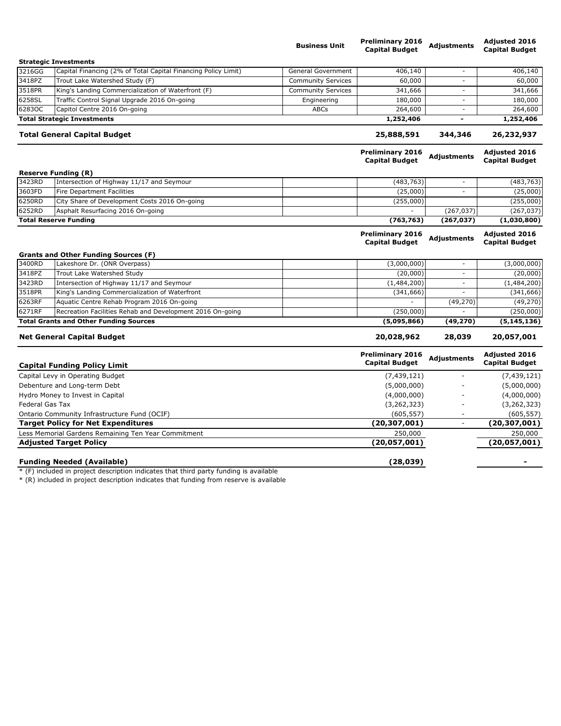|                                              |                                                                | <b>Business Unit</b>      | <b>Preliminary 2016</b><br><b>Capital Budget</b> | <b>Adjustments</b>       | <b>Adjusted 2016</b><br><b>Capital Budget</b> |
|----------------------------------------------|----------------------------------------------------------------|---------------------------|--------------------------------------------------|--------------------------|-----------------------------------------------|
|                                              | <b>Strategic Investments</b>                                   |                           |                                                  |                          |                                               |
| 3216GG                                       | Capital Financing (2% of Total Capital Financing Policy Limit) | <b>General Government</b> | 406,140                                          |                          | 406,140                                       |
| 3418PZ                                       | Trout Lake Watershed Study (F)                                 | <b>Community Services</b> | 60,000                                           | $\overline{\phantom{a}}$ | 60,000                                        |
| 3518PR                                       | King's Landing Commercialization of Waterfront (F)             | <b>Community Services</b> | 341,666                                          | $\overline{\phantom{a}}$ | 341,666                                       |
| 6258SL                                       | Traffic Control Signal Upgrade 2016 On-going                   | Engineering               | 180,000                                          | $\overline{\phantom{a}}$ | 180,000                                       |
| 62830C                                       | Capitol Centre 2016 On-going                                   | <b>ABCs</b>               | 264,600                                          |                          | 264,600                                       |
|                                              | <b>Total Strategic Investments</b>                             |                           | 1,252,406                                        | ۰                        | 1,252,406                                     |
|                                              | <b>Total General Capital Budget</b>                            |                           |                                                  | 344,346                  | 26,232,937                                    |
|                                              |                                                                |                           | <b>Preliminary 2016</b><br><b>Capital Budget</b> | <b>Adjustments</b>       | <b>Adjusted 2016</b><br><b>Capital Budget</b> |
|                                              | <b>Reserve Funding (R)</b>                                     |                           |                                                  |                          |                                               |
| 3423RD                                       | Intersection of Highway 11/17 and Seymour                      |                           | (483, 763)                                       |                          | (483, 763)                                    |
| 3603FD                                       | Fire Department Facilities                                     |                           | (25,000)                                         | $\overline{\phantom{a}}$ | (25,000)                                      |
| 6250RD                                       | City Share of Development Costs 2016 On-going                  |                           | (255,000)                                        |                          | (255,000)                                     |
| 6252RD                                       | Asphalt Resurfacing 2016 On-going                              |                           |                                                  | (267, 037)               | (267, 037)                                    |
|                                              | <b>Total Reserve Funding</b>                                   |                           | (763, 763)                                       | (267, 037)               | (1,030,800)                                   |
|                                              |                                                                |                           | <b>Preliminary 2016</b><br><b>Capital Budget</b> | Adjustments              | <b>Adjusted 2016</b><br><b>Capital Budget</b> |
|                                              | <b>Grants and Other Funding Sources (F)</b>                    |                           |                                                  |                          |                                               |
| 3400RD                                       | Lakeshore Dr. (ONR Overpass)                                   |                           | (3,000,000)                                      | $\overline{\phantom{a}}$ | (3,000,000)                                   |
| 3418PZ                                       | Trout Lake Watershed Study                                     |                           | (20,000)                                         | $\overline{\phantom{a}}$ | (20,000)                                      |
| 3423RD                                       | Intersection of Highway 11/17 and Seymour                      |                           | (1,484,200)                                      | $\sim$                   | (1,484,200)                                   |
| 3518PR                                       | King's Landing Commercialization of Waterfront                 |                           | (341,666)                                        |                          | (341, 666)                                    |
| 6263RF                                       | Aquatic Centre Rehab Program 2016 On-going                     |                           |                                                  | (49, 270)                | (49, 270)                                     |
| 6271RF                                       | Recreation Facilities Rehab and Development 2016 On-going      |                           | (250,000)                                        |                          | (250,000)                                     |
|                                              | <b>Total Grants and Other Funding Sources</b>                  |                           | (5,095,866)                                      | (49, 270)                | (5, 145, 136)                                 |
|                                              | <b>Net General Capital Budget</b>                              |                           | 20,028,962                                       | 28,039                   | 20,057,001                                    |
|                                              | <b>Capital Funding Policy Limit</b>                            |                           | <b>Preliminary 2016</b><br><b>Capital Budget</b> | <b>Adjustments</b>       | <b>Adjusted 2016</b><br><b>Capital Budget</b> |
| Capital Levy in Operating Budget             |                                                                |                           | (7, 439, 121)                                    |                          | (7, 439, 121)                                 |
| Debenture and Long-term Debt                 |                                                                |                           | (5,000,000)                                      |                          | (5,000,000)                                   |
| Hydro Money to Invest in Capital             |                                                                | (4,000,000)               |                                                  | (4,000,000)              |                                               |
| Federal Gas Tax                              |                                                                | (3, 262, 323)             |                                                  | (3, 262, 323)            |                                               |
| Ontario Community Infrastructure Fund (OCIF) |                                                                | (605, 557)                |                                                  | (605, 557)               |                                               |
|                                              | <b>Target Policy for Net Expenditures</b>                      |                           | (20, 307, 001)                                   | ÷,                       | (20, 307, 001)                                |
|                                              | Less Memorial Gardens Remaining Ten Year Commitment            |                           | 250,000                                          |                          | 250,000                                       |
|                                              | <b>Adjusted Target Policy</b>                                  |                           | (20, 057, 001)                                   |                          | (20, 057, 001)                                |
|                                              |                                                                |                           |                                                  |                          |                                               |

**Funding Needed (Available) (28,039) -**

\* (F) included in project description indicates that third party funding is available

\* (R) included in project description indicates that funding from reserve is available